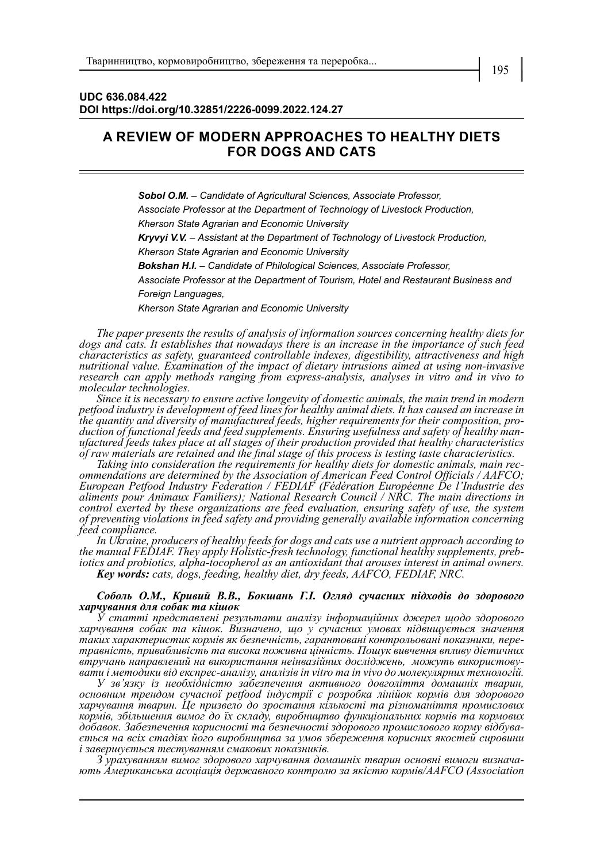## **A REVIEW OF MODERN APPROACHES TO HEALTHY DIETS FOR DOGS AND CATS**

*Sobol O.M.* – *Candidate of Agricultural Sciences, Associate Professor, Associate Professor at the Department of Technology of Livestock Production, Kherson State Agrarian and Economic University Kryvyi V.V.* – *Assistant at the Department of Technology of Livestock Production, Kherson State Agrarian and Economic University Bokshan H.І. – Candidate of Philological Sciences, Associate Professor, Associate Professor at the Department of Tourism, Hotel and Restaurant Business and Foreign Languages,*

*Kherson State Agrarian and Economic University*

*The paper presents the results of analysis of information sources concerning healthy diets for dogs and cats. It establishes that nowadays there is an increase in the importance of such feed characteristics as safety, guaranteed controllable indexes, digestibility, attractiveness and high nutritional value. Examination of the impact of dietary intrusions aimed at using non-invasive research can apply methods ranging from express-analysis, analyses in vitro and in vivo to molecular technologies.*

*Since it is necessary to ensure active longevity of domestic animals, the main trend in modern petfood industry is development of feed lines for healthy animal diets. It has caused an increase in*  the quantity and diversity of manufactured feeds, higher requirements for their composition, pro-<br>duction of functional feeds and feed supplements. Ensuring usefulness and safety of healthy man-<br>ufactured feeds takes place *of raw materials are retained and the final stage of this process is testing taste characteristics.*

*Taking into consideration the requirements for healthy diets for domestic animals, main rec- ommendations are determined by the Association of American Feed Control Officials / AAFCO; European Petfood Industry Federation / FEDIAF (Fédération Européenne De l'Industrie des aliments pour Animaux Familiers); National Research Council / NRC. The main directions in control exerted by these organizations are feed evaluation, ensuring safety of use, the system of preventing violations in feed safety and providing generally available information concerning feed compliance.* 

*In Ukraine, producers of healthy feeds for dogs and cats use a nutrient approach according to the manual FEDIAF. They apply Holistic-fresh technology, functional healthy supplements, preb- iotics and probiotics, alpha-tocopherol as an antioxidant that arouses interest in animal owners. Key words: cats, dogs, feeding, healthy diet, dry feeds, AAFCO, FEDIAF, NRC.*

## *Соболь О.М., Кривий В.В., Бокшань Г.І. Огляд сучасних підходів до здорового харчування для собак та кішок*

*У статті представлені результати аналізу інформаційних джерел щодо здорового харчування собак та кішок. Визначено, що у сучасних умовах підвищується значення таких характеристик кормів як безпечність, гарантовані контрольовані показники, пере- травність, привабливість та висока поживна цінність. Пошук вивчення впливу дієтичних втручань направлений на використання неінвазійних досліджень, можуть використову- вати і методики від експрес-аналізу, аналізів in vitro та in vivo до молекулярних технологій.*

*У зв'язку із необхідністю забезпечення активного довголіття домашніх тварин, основним трендом сучасної petfood індустрії є розробка лінійок кормів для здорового харчування тварин. Це призвело до зростання кількості та різноманіття промислових кормів, збільшення вимог до їх складу, виробництво функціональних кормів та кормових добавок. Забезпечення корисності та безпечності здорового промислового корму відбува- ється на всіх стадіях його виробництва за умов збереження корисних якостей сировини і завершується тестуванням смакових показників.*

*З урахуванням вимог здорового харчування домашніх тварин основні вимоги визнача- ють Американська асоціація державного контролю за якістю кормів/AAFCO (Association*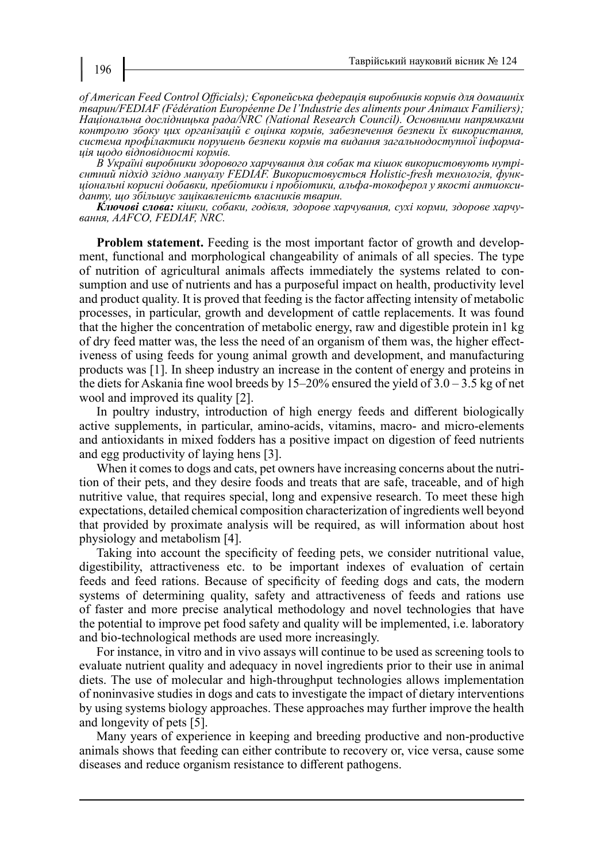*of American Feed Control Officials); Європейська федерація виробників кормів для домашніх тварин/FEDIAF (Fédération Européenne De l'Industrie des aliments pour Animaux Familiers); Національна дослідницька рада/NRC (National Research Council). Основними напрямками контролю збоку цих організацій є оцінка кормів, забезпечення безпеки їх використання, система профілактики порушень безпеки кормів та видання загальнодоступної інформа- ція щодо відповідності кормів.* 

єнтний підхід згідно мануалу FEDIAF. Використовується Holistic-fresh технологія, функ-<br>ціональні корисні добавки, пребіотики і пробіотики, альфа-токоферол у якості антиокси-<br>данту, що збільшує зацікавленість власників тва

*Ключові слова: кішки, собаки, годівля, здорове харчування, сухі корми, здорове харчу- вання, AAFCO, FEDIAF, NRC.*

**Problem statement.** Feeding is the most important factor of growth and development, functional and morphological changeability of animals of all species. The type of nutrition of agricultural animals affects immediately the systems related to consumption and use of nutrients and has a purposeful impact on health, productivity level and product quality. It is proved that feeding is the factor affecting intensity of metabolic processes, in particular, growth and development of cattle replacements. It was found that the higher the concentration of metabolic energy, raw and digestible protein in1 kg of dry feed matter was, the less the need of an organism of them was, the higher effectiveness of using feeds for young animal growth and development, and manufacturing products was [1]. In sheep industry an increase in the content of energy and proteins in the diets for Askania fine wool breeds by 15–20% ensured the yield of 3.0 – 3.5 kg of net wool and improved its quality [2].

In poultry industry, introduction of high energy feeds and different biologically active supplements, in particular, amino-acids, vitamins, macro- and micro-elements and antioxidants in mixed fodders has a positive impact on digestion of feed nutrients and egg productivity of laying hens [3].

When it comes to dogs and cats, pet owners have increasing concerns about the nutrition of their pets, and they desire foods and treats that are safe, traceable, and of high nutritive value, that requires special, long and expensive research. To meet these high expectations, detailed chemical composition characterization of ingredients well beyond that provided by proximate analysis will be required, as will information about host physiology and metabolism [4].

Taking into account the specificity of feeding pets, we consider nutritional value, digestibility, attractiveness etc. to be important indexes of evaluation of certain feeds and feed rations. Because of specificity of feeding dogs and cats, the modern systems of determining quality, safety and attractiveness of feeds and rations use of faster and more precise analytical methodology and novel technologies that have the potential to improve pet food safety and quality will be implemented, i.e. laboratory and bio-technological methods are used more increasingly.

For instance, in vitro and in vivo assays will continue to be used as screening tools to evaluate nutrient quality and adequacy in novel ingredients prior to their use in animal diets. The use of molecular and high-throughput technologies allows implementation of noninvasive studies in dogs and cats to investigate the impact of dietary interventions by using systems biology approaches. These approaches may further improve the health and longevity of pets [5].

Many years of experience in keeping and breeding productive and non-productive animals shows that feeding can either contribute to recovery or, vice versa, cause some diseases and reduce organism resistance to different pathogens.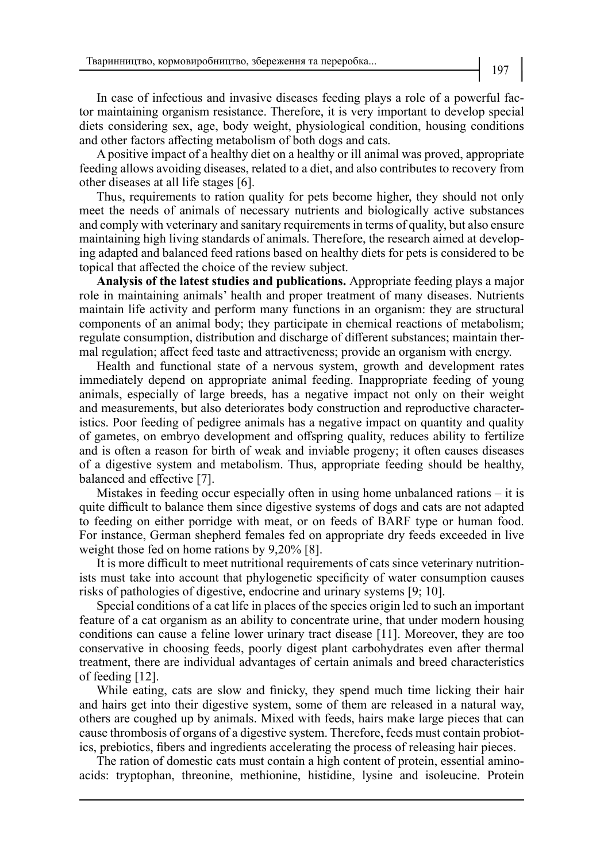In case of infectious and invasive diseases feeding plays a role of a powerful factor maintaining organism resistance. Therefore, it is very important to develop special diets considering sex, age, body weight, physiological condition, housing conditions and other factors affecting metabolism of both dogs and cats.

A positive impact of a healthy diet on a healthy or ill animal was proved, appropriate feeding allows avoiding diseases, related to a diet, and also contributes to recovery from other diseases at all life stages [6].

Thus, requirements to ration quality for pets become higher, they should not only meet the needs of animals of necessary nutrients and biologically active substances and comply with veterinary and sanitary requirements in terms of quality, but also ensure maintaining high living standards of animals. Therefore, the research aimed at developing adapted and balanced feed rations based on healthy diets for pets is considered to be topical that affected the choice of the review subject.

**Analysis of the latest studies and publications.** Appropriate feeding plays a major role in maintaining animals' health and proper treatment of many diseases. Nutrients maintain life activity and perform many functions in an organism: they are structural components of an animal body; they participate in chemical reactions of metabolism; regulate consumption, distribution and discharge of different substances; maintain thermal regulation; affect feed taste and attractiveness; provide an organism with energy.

Health and functional state of a nervous system, growth and development rates immediately depend on appropriate animal feeding. Inappropriate feeding of young animals, especially of large breeds, has a negative impact not only on their weight and measurements, but also deteriorates body construction and reproductive characteristics. Poor feeding of pedigree animals has a negative impact on quantity and quality of gametes, on embryo development and offspring quality, reduces ability to fertilize and is often a reason for birth of weak and inviable progeny; it often causes diseases of a digestive system and metabolism. Thus, appropriate feeding should be healthy, balanced and effective [7].

Mistakes in feeding occur especially often in using home unbalanced rations – it is quite difficult to balance them since digestive systems of dogs and cats are not adapted to feeding on either porridge with meat, or on feeds of BARF type or human food. For instance, German shepherd females fed on appropriate dry feeds exceeded in live weight those fed on home rations by 9,20% [8].

It is more difficult to meet nutritional requirements of cats since veterinary nutritionists must take into account that phylogenetic specificity of water consumption causes risks of pathologies of digestive, endocrine and urinary systems [9; 10].

Special conditions of a cat life in places of the species origin led to such an important feature of a cat organism as an ability to concentrate urine, that under modern housing conditions can cause a feline lower urinary tract disease [11]. Moreover, they are too conservative in choosing feeds, poorly digest plant carbohydrates even after thermal treatment, there are individual advantages of certain animals and breed characteristics of feeding [12].

While eating, cats are slow and finicky, they spend much time licking their hair and hairs get into their digestive system, some of them are released in a natural way, others are coughed up by animals. Mixed with feeds, hairs make large pieces that can cause thrombosis of organs of a digestive system. Therefore, feeds must contain probiotics, prebiotics, fibers and ingredients accelerating the process of releasing hair pieces.

The ration of domestic cats must contain a high content of protein, essential aminoacids: tryptophan, threonine, methionine, histidine, lysine and isoleucine. Protein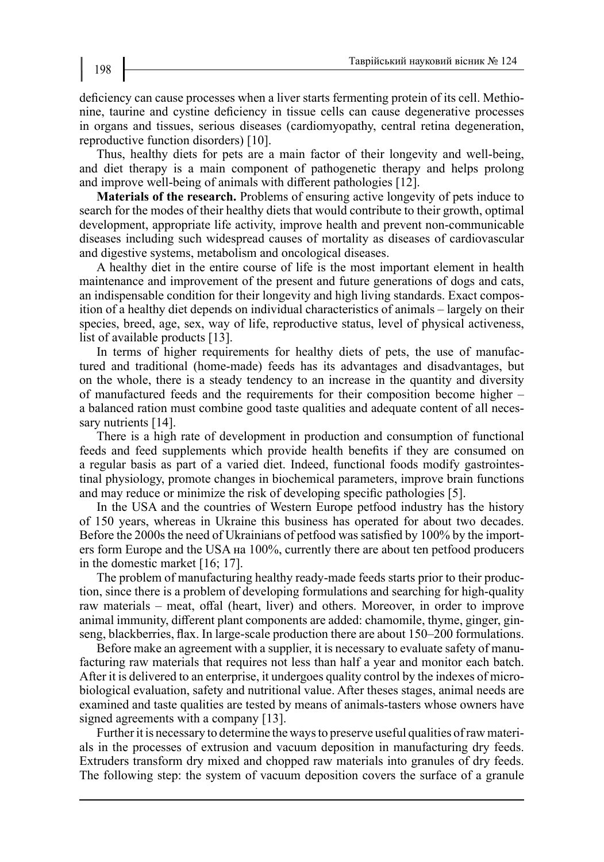deficiency can cause processes when a liver starts fermenting protein of its cell. Methionine, taurine and cystine deficiency in tissue cells can cause degenerative processes in organs and tissues, serious diseases (cardiomyopathy, central retina degeneration, reproductive function disorders) [10].

Thus, healthy diets for pets are a main factor of their longevity and well-being, and diet therapy is a main component of pathogenetic therapy and helps prolong and improve well-being of animals with different pathologies [12].

**Materials of the research.** Problems of ensuring active longevity of pets induce to search for the modes of their healthy diets that would contribute to their growth, optimal development, appropriate life activity, improve health and prevent non-communicable diseases including such widespread causes of mortality as diseases of cardiovascular and digestive systems, metabolism and oncological diseases.

A healthy diet in the entire course of life is the most important element in health maintenance and improvement of the present and future generations of dogs and cats, an indispensable condition for their longevity and high living standards. Exact composition of a healthy diet depends on individual characteristics of animals – largely on their species, breed, age, sex, way of life, reproductive status, level of physical activeness, list of available products [13].

In terms of higher requirements for healthy diets of pets, the use of manufactured and traditional (home-made) feeds has its advantages and disadvantages, but on the whole, there is a steady tendency to an increase in the quantity and diversity of manufactured feeds and the requirements for their composition become higher – a balanced ration must combine good taste qualities and adequate content of all necessary nutrients [14].

There is a high rate of development in production and consumption of functional feeds and feed supplements which provide health benefits if they are consumed on a regular basis as part of a varied diet. Indeed, functional foods modify gastrointestinal physiology, promote changes in biochemical parameters, improve brain functions and may reduce or minimize the risk of developing specific pathologies [5].

In the USA and the countries of Western Europe petfood industry has the history of 150 years, whereas in Ukraine this business has operated for about two decades. Before the 2000s the need of Ukrainians of petfood was satisfied by 100% by the importers form Europe and the USA на 100%, currently there are about ten petfood producers in the domestic market [16; 17].

The problem of manufacturing healthy ready-made feeds starts prior to their production, since there is a problem of developing formulations and searching for high-quality raw materials – meat, offal (heart, liver) and others. Moreover, in order to improve animal immunity, different plant components are added: chamomile, thyme, ginger, ginseng, blackberries, flax. In large-scale production there are about 150–200 formulations.

Before make an agreement with a supplier, it is necessary to evaluate safety of manufacturing raw materials that requires not less than half a year and monitor each batch. After it is delivered to an enterprise, it undergoes quality control by the indexes of microbiological evaluation, safety and nutritional value. After theses stages, animal needs are examined and taste qualities are tested by means of animals-tasters whose owners have signed agreements with a company [13].

Further it is necessary to determine the ways to preserve useful qualities of raw materials in the processes of extrusion and vacuum deposition in manufacturing dry feeds. Extruders transform dry mixed and chopped raw materials into granules of dry feeds. The following step: the system of vacuum deposition covers the surface of a granule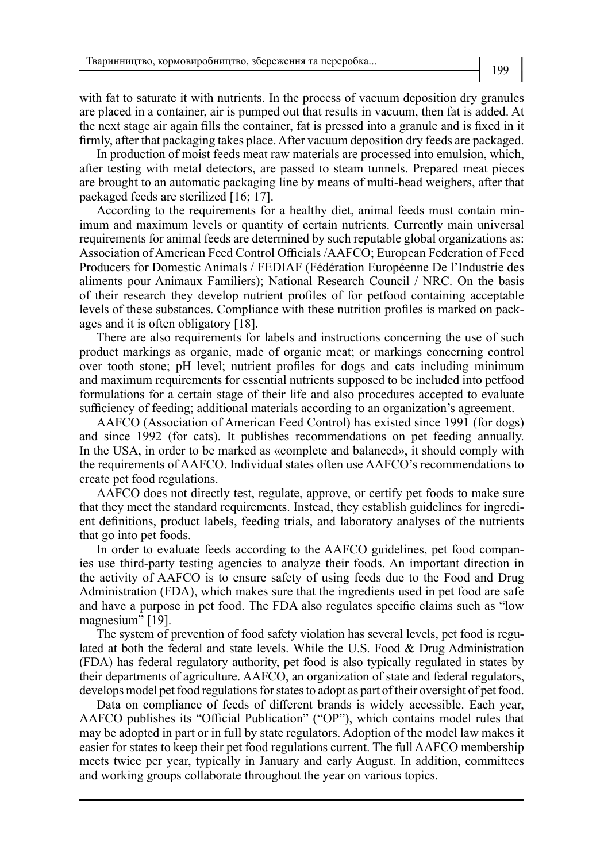with fat to saturate it with nutrients. In the process of vacuum deposition dry granules are placed in a container, air is pumped out that results in vacuum, then fat is added. At the next stage air again fills the container, fat is pressed into a granule and is fixed in it firmly, after that packaging takes place. After vacuum deposition dry feeds are packaged.

In production of moist feeds meat raw materials are processed into emulsion, which, after testing with metal detectors, are passed to steam tunnels. Prepared meat pieces are brought to an automatic packaging line by means of multi-head weighers, after that packaged feeds are sterilized [16; 17].

According to the requirements for a healthy diet, animal feeds must contain minimum and maximum levels or quantity of certain nutrients. Currently main universal requirements for animal feeds are determined by such reputable global organizations as: Association of American Feed Control Officials /AAFCO; European Federation of Feed Producers for Domestic Animals / FEDIAF (Fédération Européenne De l'Industrie des aliments pour Animaux Familiers); National Research Council / NRC. On the basis of their research they develop nutrient profiles of for petfood containing acceptable levels of these substances. Compliance with these nutrition profiles is marked on packages and it is often obligatory [18].

There are also requirements for labels and instructions concerning the use of such product markings as organic, made of organic meat; or markings concerning control over tooth stone; рН level; nutrient profiles for dogs and cats including minimum and maximum requirements for essential nutrients supposed to be included into petfood formulations for a certain stage of their life and also procedures accepted to evaluate sufficiency of feeding; additional materials according to an organization's agreement.

AAFCO (Association of American Feed Control) has existed since 1991 (for dogs) and since 1992 (for cats). It publishes recommendations on pet feeding annually. In the USA, in order to be marked as «complete and balanced», it should comply with the requirements of AAFCO. Individual states often use AAFCO's recommendations to create pet food regulations.

AAFCO does not directly test, regulate, approve, or certify pet foods to make sure that they meet the standard requirements. Instead, they establish guidelines for ingredient definitions, product labels, feeding trials, and laboratory analyses of the nutrients that go into pet foods.

In order to evaluate feeds according to the AAFCO guidelines, pet food companies use third-party testing agencies to analyze their foods. An important direction in the activity of AAFCO is to ensure safety of using feeds due to the Food and Drug Administration (FDA), which makes sure that the ingredients used in pet food are safe and have a purpose in pet food. The FDA also regulates specific claims such as "low magnesium" [19].

The system of prevention of food safety violation has several levels, pet food is regulated at both the federal and state levels. While the U.S. Food & Drug Administration (FDA) has federal regulatory authority, pet food is also typically regulated in states by their departments of agriculture. AAFCO, an organization of state and federal regulators, develops model pet food regulations for states to adopt as part of their oversight of pet food.

Data on compliance of feeds of different brands is widely accessible. Each year, AAFCO publishes its "Official Publication" ("OP"), which contains model rules that may be adopted in part or in full by state regulators. Adoption of the model law makes it easier for states to keep their pet food regulations current. The full AAFCO membership meets twice per year, typically in January and early August. In addition, committees and working groups collaborate throughout the year on various topics.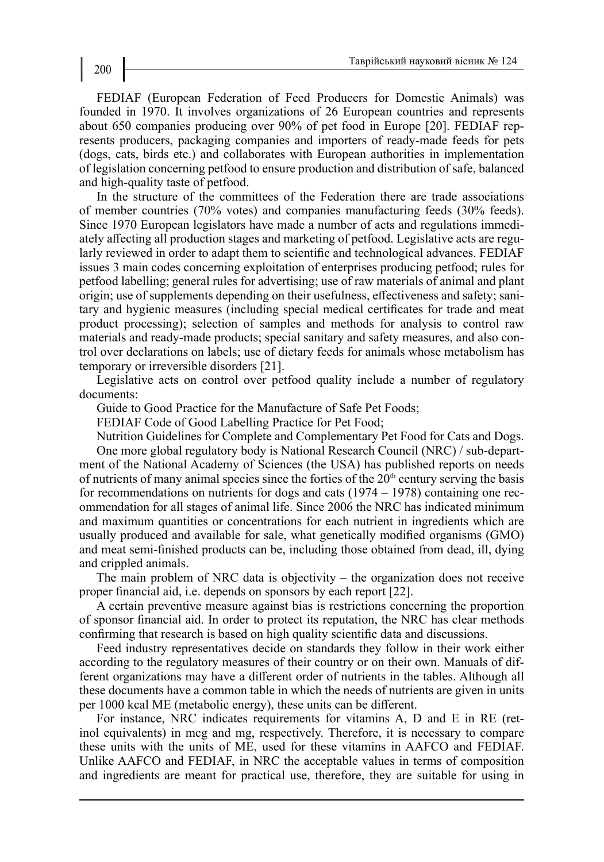FEDIAF (European Federation of Feed Producers for Domestic Animals) was founded in 1970. It involves organizations of 26 European countries and represents about 650 companies producing over 90% of pet food in Europe [20]. FEDIAF represents producers, packaging companies and importers of ready-made feeds for pets (dogs, cats, birds etc.) and collaborates with European authorities in implementation of legislation concerning petfood to ensure production and distribution of safe, balanced and high-quality taste of petfood.

In the structure of the committees of the Federation there are trade associations of member countries (70% votes) and companies manufacturing feeds (30% feeds). Since 1970 European legislators have made a number of acts and regulations immediately affecting all production stages and marketing of petfood. Legislative acts are regularly reviewed in order to adapt them to scientific and technological advances. FEDIAF issues 3 main codes concerning exploitation of enterprises producing petfood; rules for petfood labelling; general rules for advertising; use of raw materials of animal and plant origin; use of supplements depending on their usefulness, effectiveness and safety; sanitary and hygienic measures (including special medical certificates for trade and meat product processing); selection of samples and methods for analysis to control raw materials and ready-made products; special sanitary and safety measures, and also control over declarations on labels; use of dietary feeds for animals whose metabolism has temporary or irreversible disorders [21].

Legislative acts on control over petfood quality include a number of regulatory documents:

Guide to Good Practice for the Manufacture of Safe Pet Foods;

FEDIAF Code of Good Labelling Practice for Pet Food;

Nutrition Guidelines for Complete and Complementary Pet Food for Cats and Dogs. One more global regulatory body is National Research Council (NRC) / sub-department of the National Academy of Sciences (the USA) has published reports on needs of nutrients of many animal species since the forties of the  $20<sup>th</sup>$  century serving the basis for recommendations on nutrients for dogs and cats (1974 – 1978) containing one recommendation for all stages of animal life. Since 2006 the NRC has indicated minimum and maximum quantities or concentrations for each nutrient in ingredients which are usually produced and available for sale, what genetically modified organisms (GMO) and meat semi-finished products can be, including those obtained from dead, ill, dying and crippled animals.

The main problem of NRC data is objectivity – the organization does not receive proper financial aid, i.e. depends on sponsors by each report [22].

A certain preventive measure against bias is restrictions concerning the proportion of sponsor financial aid. In order to protect its reputation, the NRC has clear methods confirming that research is based on high quality scientific data and discussions.

Feed industry representatives decide on standards they follow in their work either according to the regulatory measures of their country or on their own. Manuals of different organizations may have a different order of nutrients in the tables. Although all these documents have a common table in which the needs of nutrients are given in units per 1000 kcal ME (metabolic energy), these units can be different.

For instance, NRC indicates requirements for vitamins A, D and E in RE (retinol equivalents) in mcg and mg, respectively. Therefore, it is necessary to compare these units with the units of МE, used for these vitamins in AAFCO and FEDIAF. Unlike AAFCO and FEDIAF, in NRC the acceptable values in terms of composition and ingredients are meant for practical use, therefore, they are suitable for using in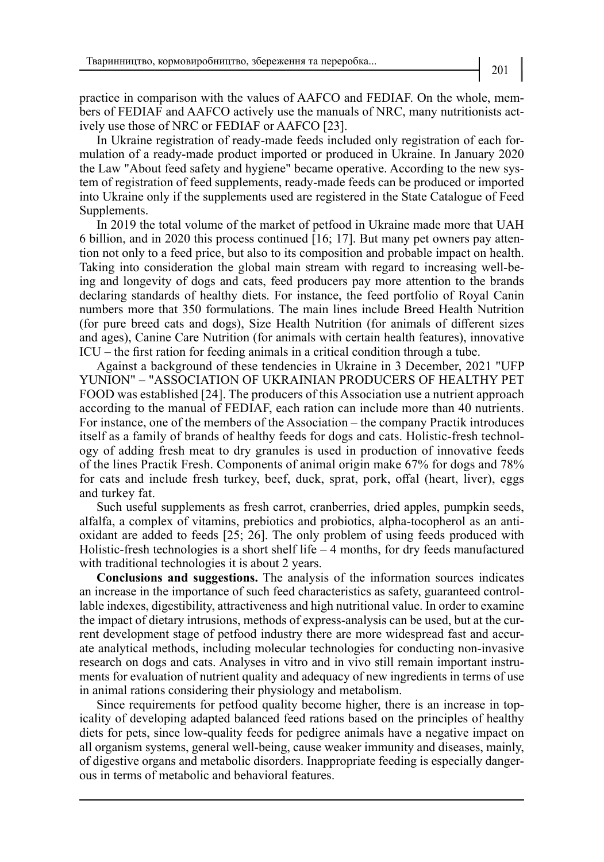practice in comparison with the values of AAFCO and FEDIAF. On the whole, members of FEDIAF and AAFCO actively use the manuals of NRC, many nutritionists actively use those of NRC or FEDIAF or AAFCO [23].

In Ukraine registration of ready-made feeds included only registration of each formulation of a ready-made product imported or produced in Ukraine. In January 2020 the Law "About feed safety and hygiene" became operative. According to the new system of registration of feed supplements, ready-made feeds can be produced or imported into Ukraine only if the supplements used are registered in the State Catalogue of Feed Supplements.

In 2019 the total volume of the market of petfood in Ukraine made more that UAH 6 billion, and in 2020 this process continued [16; 17]. But many pet owners pay attention not only to a feed price, but also to its composition and probable impact on health. Taking into consideration the global main stream with regard to increasing well-being and longevity of dogs and cats, feed producers pay more attention to the brands declaring standards of healthy diets. For instance, the feed portfolio of Royal Canin numbers more that 350 formulations. The main lines include Breed Health Nutrition (for pure breed cats and dogs), Size Health Nutrition (for animals of different sizes and ages), Canine Care Nutrition (for animals with certain health features), innovative ICU – the first ration for feeding animals in a critical condition through a tube.

Against a background of these tendencies in Ukraine in 3 December, 2021 "UFP YUNION" – "ASSOCIATION OF UKRAINIAN PRODUCERS OF HEALTHY PET FOOD was established [24]. The producers of this Association use a nutrient approach according to the manual of FEDIAF, each ration can include more than 40 nutrients. For instance, one of the members of the Association – the company Practik introduces itself as a family of brands of healthy feeds for dogs and cats. Holistic-fresh technology of adding fresh meat to dry granules is used in production of innovative feeds of the lines Practik Fresh. Components of animal origin make 67% for dogs and 78% for cats and include fresh turkey, beef, duck, sprat, pork, offal (heart, liver), eggs and turkey fat.

Such useful supplements as fresh carrot, cranberries, dried apples, pumpkin seeds, alfalfa, a complex of vitamins, prebiotics and probiotics, alpha-tocopherol as an antioxidant are added to feeds [25; 26]. The only problem of using feeds produced with Holistic-fresh technologies is a short shelf life  $-4$  months, for dry feeds manufactured with traditional technologies it is about 2 years.

**Conclusions and suggestions.** The analysis of the information sources indicates an increase in the importance of such feed characteristics as safety, guaranteed controllable indexes, digestibility, attractiveness and high nutritional value. In order to examine the impact of dietary intrusions, methods of express-analysis can be used, but at the current development stage of petfood industry there are more widespread fast and accurate analytical methods, including molecular technologies for conducting non-invasive research on dogs and cats. Analyses in vitro and in vivo still remain important instruments for evaluation of nutrient quality and adequacy of new ingredients in terms of use in animal rations considering their physiology and metabolism.

Since requirements for petfood quality become higher, there is an increase in topicality of developing adapted balanced feed rations based on the principles of healthy diets for pets, since low-quality feeds for pedigree animals have a negative impact on all organism systems, general well-being, cause weaker immunity and diseases, mainly, of digestive organs and metabolic disorders. Inappropriate feeding is especially dangerous in terms of metabolic and behavioral features.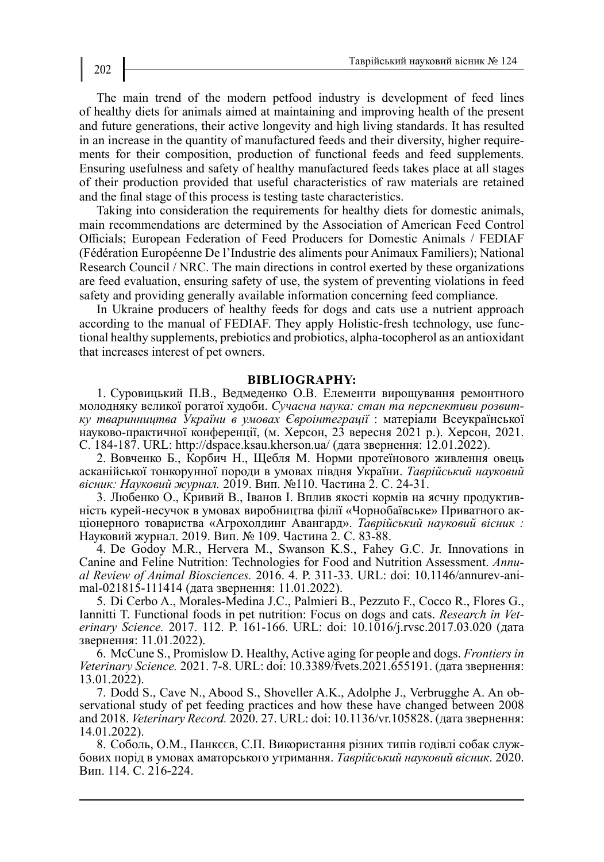The main trend of the modern petfood industry is development of feed lines of healthy diets for animals aimed at maintaining and improving health of the present and future generations, their active longevity and high living standards. It has resulted in an increase in the quantity of manufactured feeds and their diversity, higher requirements for their composition, production of functional feeds and feed supplements. Ensuring usefulness and safety of healthy manufactured feeds takes place at all stages of their production provided that useful characteristics of raw materials are retained and the final stage of this process is testing taste characteristics.

Taking into consideration the requirements for healthy diets for domestic animals, main recommendations are determined by the Association of American Feed Control Officials; European Federation of Feed Producers for Domestic Animals / FEDIAF (Fédération Européenne De l'Industrie des aliments pour Animaux Familiers); National Research Council / NRC. The main directions in control exerted by these organizations are feed evaluation, ensuring safety of use, the system of preventing violations in feed safety and providing generally available information concerning feed compliance.

In Ukraine producers of healthy feeds for dogs and cats use a nutrient approach according to the manual of FEDIAF. They apply Holistic-fresh technology, use functional healthy supplements, prebiotics and probiotics, alpha-tocopherol as an antioxidant that increases interest of pet owners.

## **BIBLIOGRAPHY:**

1. Суровицький П.В., Ведмеденко О.В. Елементи вирощування ремонтного молодняку великої рогатої худоби. *Сучасна наука: стан та перспективи розвитку тваринництва України в умовах Євроінтеграції* : матеріали Всеукраїнської науково-практичної конференції, (м. Херсон, 23 вересня 2021 р.). Херсон, 2021. С. 184-187. URL: http://dspace.ksau.kherson.ua/ (дата звернення: 12.01.2022).

2. Вовченко Б., Корбич Н., Щебля М. Норми протеїнового живлення овець асканійської тонкорунної породи в умовах півдня України. *Таврійський науковий вісник: Науковий журнал.* 2019. Вип. №110. Частина 2. С. 24-31.

3. Любенко О., Кривий В., Іванов І. Вплив якості кормів на яєчну продуктивність курей-несучок в умовах виробництва філії «Чорнобаївське» Приватного акціонерного товариства «Агрохолдинг Авангард». *Таврійський науковий вісник :* Науковий журнал. 2019. Вип. № 109. Частина 2. С. 83-88.

4. De Godoy M.R., Hervera M., Swanson K.S., Fahey G.C. Jr. Innovations in Canine and Feline Nutrition: Technologies for Food and Nutrition Assessment. *Annual Review of Animal Biosciences.* 2016. 4. Р. 311-33. URL: doi: 10.1146/annurev-animal-021815-111414 (дата звернення: 11.01.2022).

5. Di Cerbo A., Morales-Medina J.C., Palmieri B., Pezzuto F., Cocco R., Flores G., Iannitti T. Functional foods in pet nutrition: Focus on dogs and cats. *Research in Veterinary Science.* 2017. 112. P. 161-166. URL: doi: 10.1016/j.rvsc.2017.03.020 (дата звернення: 11.01.2022).

6. McCune S., Promislow D. Healthy, Active aging for people and dogs. *Frontiers in Veterinary Science.* 2021. 7-8. URL: doi: 10.3389/fvets.2021.655191. (дата звернення: 13.01.2022).

7. Dodd S., Cave N., Abood S., Shoveller A.K., Adolphe J., Verbrugghe A. An observational study of pet feeding practices and how these have changed between 2008 and 2018. *Veterinary Record.* 2020. 27. URL: doi: 10.1136/vr.105828. (дата звернення: 14.01.2022).

8. Соболь, О.М., Панкєєв, С.П. Використання різних типів годівлі собак службових порід в умовах аматорського утримання. *Таврійський науковий вісник*. 2020. Вип. 114. С. 216-224.